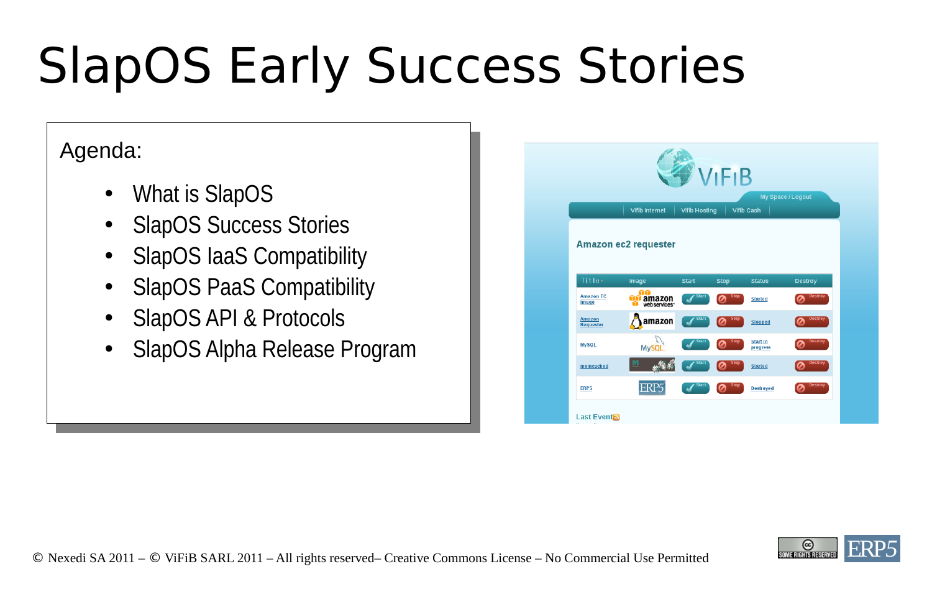# SlapOS Early Success Stories

#### Agenda:

- What is SlapOS
- **SlapOS Success Stories**
- SlapOS IaaS Compatibility
- **SlapOS PaaS Compatibility**
- **SlapOS API & Protocols**
- SlapOS Alpha Release Program

|                            |                                   |                      | <b>VIFIB</b>      |                             |                |
|----------------------------|-----------------------------------|----------------------|-------------------|-----------------------------|----------------|
|                            | <b>Vifib Internet</b>             | <b>Vifib Hosting</b> | <b>Vifib Cash</b> | My Space / Logout           |                |
|                            | <b>Amazon ec2 requester</b>       |                      |                   |                             |                |
| <b>Title:</b>              | Image                             | <b>Start</b>         | <b>Stop</b>       | <b>Status</b>               | <b>Destroy</b> |
| <b>Amazon EC</b><br>Image  | YTY<br>amazon<br>webservices<br>ш | <b>Start</b>         | <b>Stop</b>       | <b>Started</b>              | <b>Destroy</b> |
| <b>Amazon</b><br>Requester | amazon                            | <b>Start</b>         | <b>Stop</b>       | <b>Stopped</b>              | <b>Destroy</b> |
| <b>MySQL</b>               | MySQL.                            | <b>Start</b>         | <b>Stop</b>       | <b>Start in</b><br>progress | <b>Destroy</b> |
| memcached                  |                                   | <b>Start</b>         | <b>Stop</b>       | <b>Started</b>              | <b>Destroy</b> |
| ERP5                       | ERP5                              | <b>Start</b>         | <b>Stop</b>       | <b>Destroyed</b>            | <b>Destroy</b> |
| Last Event                 |                                   |                      |                   |                             |                |

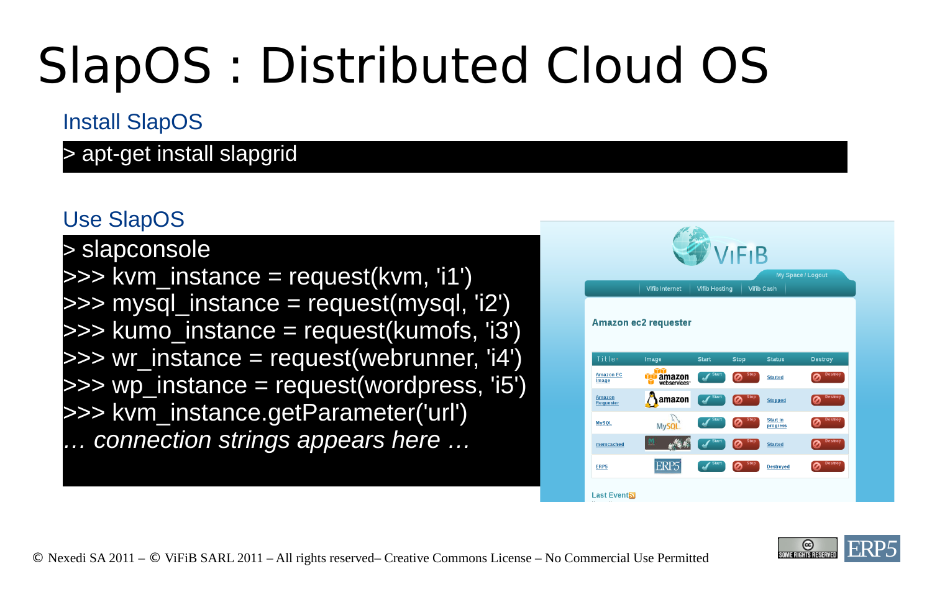## SlapOS : Distributed Cloud OS

#### Install SlapOS

> apt-get install slapgrid

#### Use SlapOS

> slapconsole >>> kvm\_instance = request(kvm, 'i1')  $\gg$  mysql instance = request(mysql, 'i2') >>> kumo instance = request(kumofs, 'i3')  $\gg$  wr instance = request(webrunner, 'i4') >>> wp\_instance = request(wordpress, 'i5') >>> kvm\_instance.getParameter('url') *… connection strings appears here …*



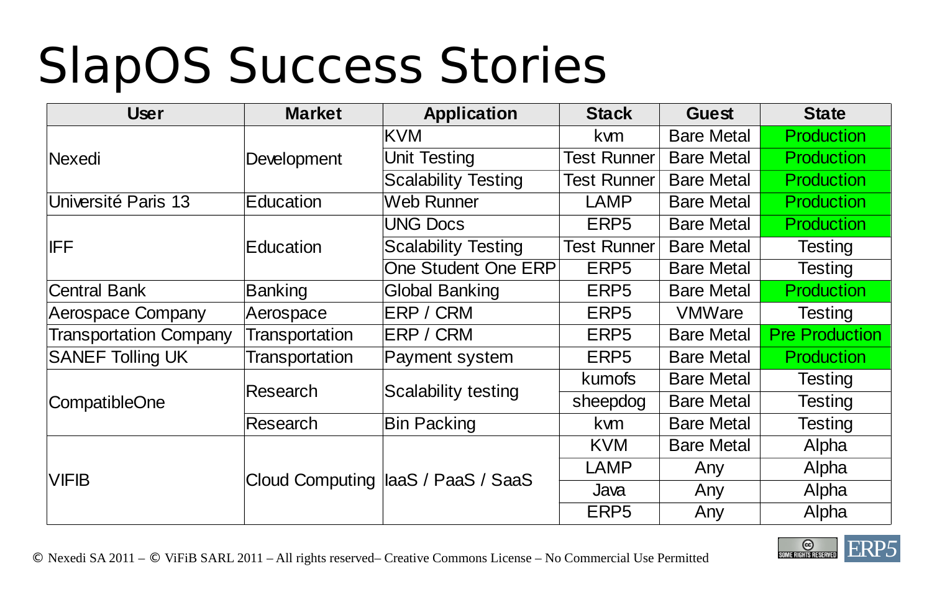### SlapOS Success Stories

| <b>User</b>                   | <b>Market</b>         | Application                         | <b>Stack</b>       | <b>Guest</b>      | <b>State</b>          |
|-------------------------------|-----------------------|-------------------------------------|--------------------|-------------------|-----------------------|
|                               |                       | KVM                                 | kwm                | <b>Bare Metal</b> | <b>Production</b>     |
| <b>Nexedi</b>                 | Development           | Unit Testing                        | <b>Test Runner</b> | <b>Bare Metal</b> | <b>Production</b>     |
|                               |                       | <b>Scalability Testing</b>          | <b>Test Runner</b> | <b>Bare Metal</b> | <b>Production</b>     |
| Université Paris 13           | Education             | Web Runner                          | <b>LAMP</b>        | <b>Bare Metal</b> | <b>Production</b>     |
|                               |                       | <b>UNG Docs</b>                     | ERP <sub>5</sub>   | <b>Bare Metal</b> | <b>Production</b>     |
| <b>IFF</b>                    | Education             | <b>Scalability Testing</b>          | <b>Test Runner</b> | <b>Bare Metal</b> | Testing               |
|                               |                       | <b>One Student One ERP</b>          | ERP <sub>5</sub>   | <b>Bare Metal</b> | Testing               |
| <b>Central Bank</b>           | <b>Banking</b>        | Global Banking                      | ERP <sub>5</sub>   | <b>Bare Metal</b> | <b>Production</b>     |
| <b>Aerospace Company</b>      | Aerospace             | ERP / CRM                           | ERP <sub>5</sub>   | <b>VMWare</b>     | <b>Testing</b>        |
| <b>Transportation Company</b> | <b>Transportation</b> | ERP / CRM                           | ERP <sub>5</sub>   | <b>Bare Metal</b> | <b>Pre Production</b> |
| <b>SANEF Tolling UK</b>       | <b>Transportation</b> | Payment system                      | ERP5               | <b>Bare Metal</b> | <b>Production</b>     |
|                               | Research              |                                     | <b>kumofs</b>      | <b>Bare Metal</b> | Testing               |
| CompatibleOne                 |                       | Scalability testing                 | sheepdog           | <b>Bare Metal</b> | <b>Testing</b>        |
|                               | Research              | <b>Bin Packing</b>                  | kwm                | <b>Bare Metal</b> | Testing               |
|                               |                       |                                     | <b>KVM</b>         | <b>Bare Metal</b> | Alpha                 |
| <b>VIFIB</b>                  |                       |                                     | <b>LAMP</b>        | Any               | Alpha                 |
|                               |                       | Cloud Computing  laaS / PaaS / SaaS | Java               | Any               | Alpha                 |
|                               |                       |                                     | ERP <sub>5</sub>   | Any               | Alpha                 |

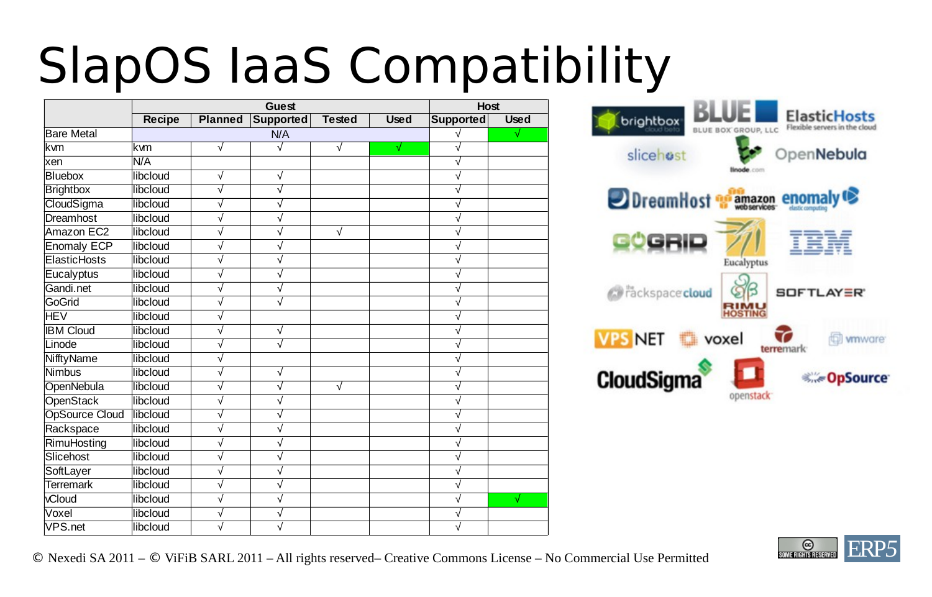### SlapOS IaaS Compatibility

|                       |               |                | <b>Guest</b>          |               |             | <b>Host</b>      |                 |
|-----------------------|---------------|----------------|-----------------------|---------------|-------------|------------------|-----------------|
|                       | <b>Recipe</b> | <b>Planned</b> | <b>Supported</b>      | <b>Tested</b> | <b>Used</b> | <b>Supported</b> | <b>Used</b>     |
| <b>Bare Metal</b>     |               |                | N/A                   |               |             |                  | $\blacklozenge$ |
| kwm                   | lkvm          | $\sqrt{ }$     | $\sqrt{}$             | $\sqrt{}$     | √           | ν                |                 |
| xen                   | N/A           |                |                       |               |             | $\sqrt{}$        |                 |
| <b>Bluebox</b>        | libcloud      | $\sqrt{}$      | √                     |               |             |                  |                 |
| <b>Brightbox</b>      | libcloud      | $\sqrt{}$      | $\sqrt{}$             |               |             | ν                |                 |
| CloudSigma            | libcloud      | $\sqrt{}$      | $\sqrt{}$             |               |             | ν                |                 |
| Dreamhost             | libcloud      | $\sqrt{}$      | $\sqrt{}$             |               |             | √                |                 |
| Amazon EC2            | libcloud      | $\sqrt{}$      | $\sqrt{}$             | $\sqrt{}$     |             | $\sqrt{ }$       |                 |
| <b>Enomaly ECP</b>    | libcloud      | $\sqrt{}$      | $\sqrt{}$             |               |             | ν                |                 |
| ElasticHosts          | libcloud      | $\sqrt{}$      | √                     |               |             | ν                |                 |
| Eucalyptus            | libcloud      | √              | $\sqrt{}$             |               |             | ν                |                 |
| Gandi.net             | libcloud      | $\sqrt{}$      | $\sqrt{}$             |               |             | √                |                 |
| GoGrid                | libcloud      | $\sqrt{}$      | $\sqrt{}$             |               |             | ν                |                 |
| <b>HEV</b>            | libcloud      | $\sqrt{}$      |                       |               |             | ν                |                 |
| <b>IBM Cloud</b>      | libcloud      | $\sqrt{}$      | √                     |               |             | ν                |                 |
| Linode                | libcloud      | $\sqrt{}$      | $\sqrt{}$             |               |             | ν                |                 |
| NifftyName            | libcloud      | $\sqrt{}$      |                       |               |             | √                |                 |
| <b>Nimbus</b>         | libcloud      | $\sqrt{}$      | $\sqrt{}$             |               |             | √                |                 |
| OpenNebula            | libcloud      | $\sqrt{}$      | √                     | $\sqrt{}$     |             | ν                |                 |
| <b>OpenStack</b>      | libcloud      | √              | $\sqrt{}$             |               |             | √                |                 |
| <b>OpSource Cloud</b> | libcloud      | $\sqrt{}$      | $\sqrt{}$             |               |             | ν                |                 |
| Rackspace             | libcloud      | $\sqrt{}$      | √                     |               |             | √                |                 |
| RimuHosting           | libcloud      | √              | √                     |               |             | ν                |                 |
| Slicehost             | libcloud      | √              | ν                     |               |             | √                |                 |
| SoftLayer             | libcloud      | $\sqrt{}$      | $\sqrt{}$             |               |             | $\sqrt{}$        |                 |
| <b>Terremark</b>      | libcloud      | $\sqrt{}$      | ν                     |               |             | ν                |                 |
| vCloud                | libcloud      | $\sqrt{}$      | $\overline{\sqrt{ }}$ |               |             | ν                | ♦               |
| Voxel                 | libcloud      | $\sqrt{}$      | √                     |               |             | ν                |                 |
| VPS.net               | libcloud      | ν              |                       |               |             | ν                |                 |



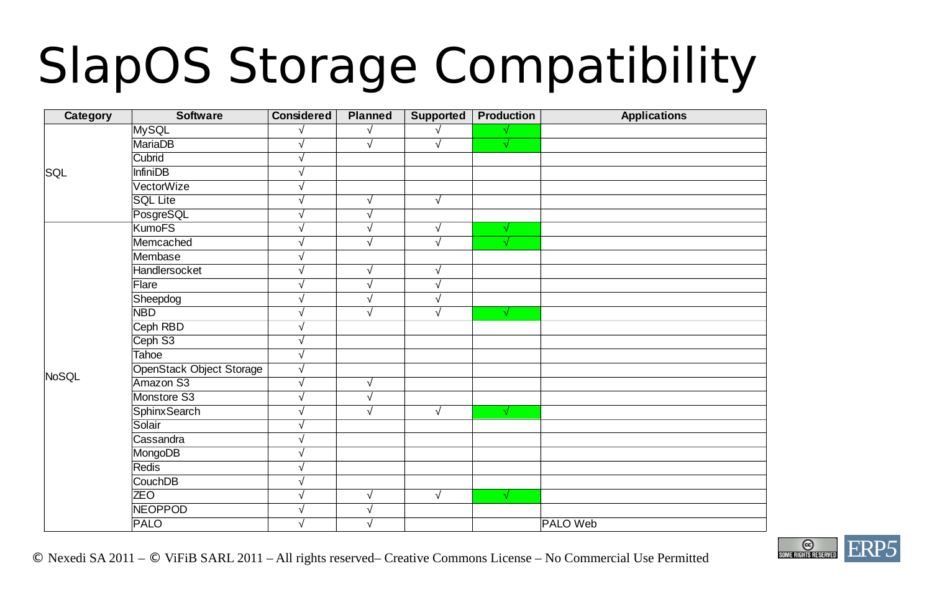## SlapOS Storage Compatibility

| Category | <b>Software</b>                 | <b>Considered</b> | <b>Planned</b>        | Supported             | Production | <b>Applications</b> |
|----------|---------------------------------|-------------------|-----------------------|-----------------------|------------|---------------------|
|          | MySQL                           |                   | √                     |                       |            |                     |
|          | <b>MariaDB</b>                  | $\sqrt{}$         | $\overline{\sqrt{} }$ | $\sqrt{}$             | $\sqrt{ }$ |                     |
|          | Cubrid                          | $\sqrt{}$         |                       |                       |            |                     |
| SQL      | <b>InfiniDB</b>                 | $\sqrt{}$         |                       |                       |            |                     |
|          | VectorWize                      | √                 |                       |                       |            |                     |
|          | <b>SQL Lite</b>                 | √                 | $\sqrt{}$             | $\sqrt{}$             |            |                     |
|          | PosgreSQL                       | √                 | $\sqrt{}$             |                       |            |                     |
|          | <b>KumoFS</b>                   | $\sqrt{}$         | $\overline{\sqrt{ }}$ | $\sqrt{}$             | $\sqrt{}$  |                     |
|          | Memcached                       | $\sqrt{}$         | $\sqrt{}$             | $\sqrt{}$             | $\sqrt{}$  |                     |
|          | Membase                         | $\sqrt{}$         |                       |                       |            |                     |
|          | Handlersocket                   | $\sqrt{ }$        | $\sqrt{ }$            | $\sqrt{}$             |            |                     |
|          | Flare                           | $\sqrt{ }$        | $\overline{\sqrt{ }}$ | $\overline{\sqrt{} }$ |            |                     |
|          | Sheepdog                        | $\sqrt{}$         | $\sqrt{}$             | √                     |            |                     |
|          | <b>NBD</b>                      | $\sqrt{}$         | $\overline{\sqrt{ }}$ | $\overline{\sqrt{ }}$ | $\sqrt{}$  |                     |
|          | Ceph RBD                        | √                 |                       |                       |            |                     |
|          | Ceph S3                         | √                 |                       |                       |            |                     |
|          | <b>Tahoe</b>                    | $\sqrt{}$         |                       |                       |            |                     |
|          | <b>OpenStack Object Storage</b> | $\sqrt{}$         |                       |                       |            |                     |
| NoSQL    | Amazon S3                       | $\sqrt{}$         | $\sqrt{}$             |                       |            |                     |
|          | Monstore S3                     | $\sqrt{}$         | $\sqrt{}$             |                       |            |                     |
|          | <b>SphinxSearch</b>             |                   | $\sqrt{}$             | $\sqrt{}$             | $\sqrt{ }$ |                     |
|          | Solair                          |                   |                       |                       |            |                     |
|          | Cassandra                       |                   |                       |                       |            |                     |
|          | MongoDB                         |                   |                       |                       |            |                     |
|          | Redis                           |                   |                       |                       |            |                     |
|          | CouchDB                         |                   |                       |                       |            |                     |
|          | <b>ZEO</b>                      |                   | $\sqrt{}$             | $\sqrt{}$             | √          |                     |
|          | <b>NEOPPOD</b>                  |                   | $\sqrt{}$             |                       |            |                     |
|          | <b>PALO</b>                     | $\sqrt{}$         | $\sqrt{}$             |                       |            | PALO Web            |

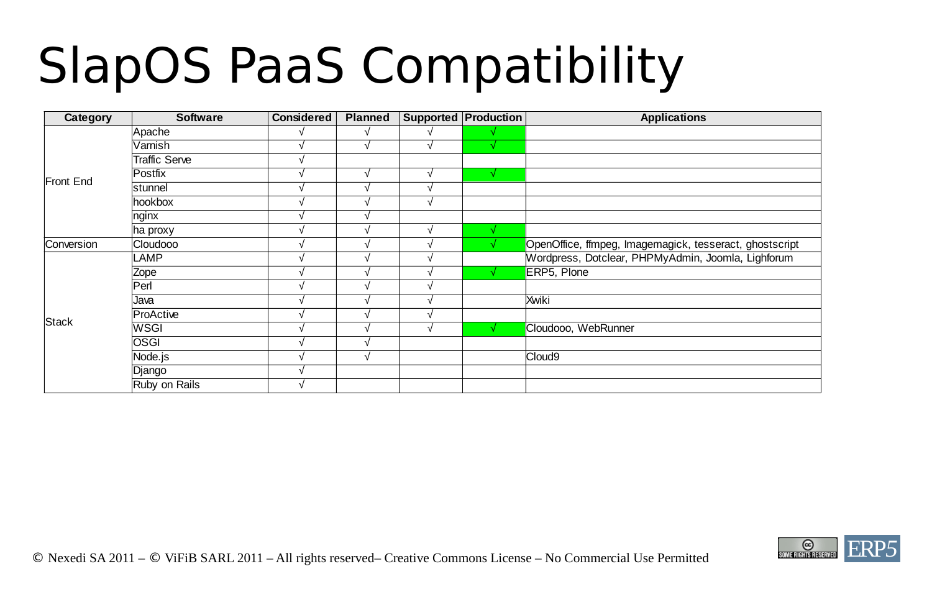## SlapOS PaaS Compatibility

| Category     | <b>Software</b> | <b>Considered</b> | <b>Planned</b> |            | Supported Production | <b>Applications</b>                                     |
|--------------|-----------------|-------------------|----------------|------------|----------------------|---------------------------------------------------------|
|              | Apache          |                   | √              |            |                      |                                                         |
|              | Varnish         |                   | $\sqrt{ }$     | $\sqrt{ }$ | √                    |                                                         |
|              | Traffic Serve   |                   |                |            |                      |                                                         |
|              | Postfix         |                   | $\sqrt{ }$     | V          | √                    |                                                         |
| Front End    | stunnel         |                   | h.             | ٦ı         |                      |                                                         |
|              | hookbox         |                   |                | V          |                      |                                                         |
|              | nginx           |                   |                |            |                      |                                                         |
|              | ha proxy        |                   |                | ٦Ι         | 77                   |                                                         |
| Conversion   | <b>Cloudooo</b> |                   |                |            |                      | OpenOffice, ffmpeg, Imagemagick, tesseract, ghostscript |
|              | LAMP            |                   |                |            |                      | Wordpress, Dotclear, PHPMyAdmin, Joomla, Lighforum      |
|              | Zope            |                   |                |            |                      | ERP5, Plone                                             |
|              | Perl            |                   |                |            |                      |                                                         |
|              | Java            |                   | h.             |            |                      | Xwiki                                                   |
|              | ProActive       |                   |                |            |                      |                                                         |
| <b>Stack</b> | <b>WSGI</b>     |                   |                | V          |                      | Cloudooo, WebRunner                                     |
|              | <b>OSGI</b>     |                   |                |            |                      |                                                         |
|              | Node.js         |                   | √              |            |                      | Cloud9                                                  |
|              | Django          |                   |                |            |                      |                                                         |
|              | Ruby on Rails   |                   |                |            |                      |                                                         |

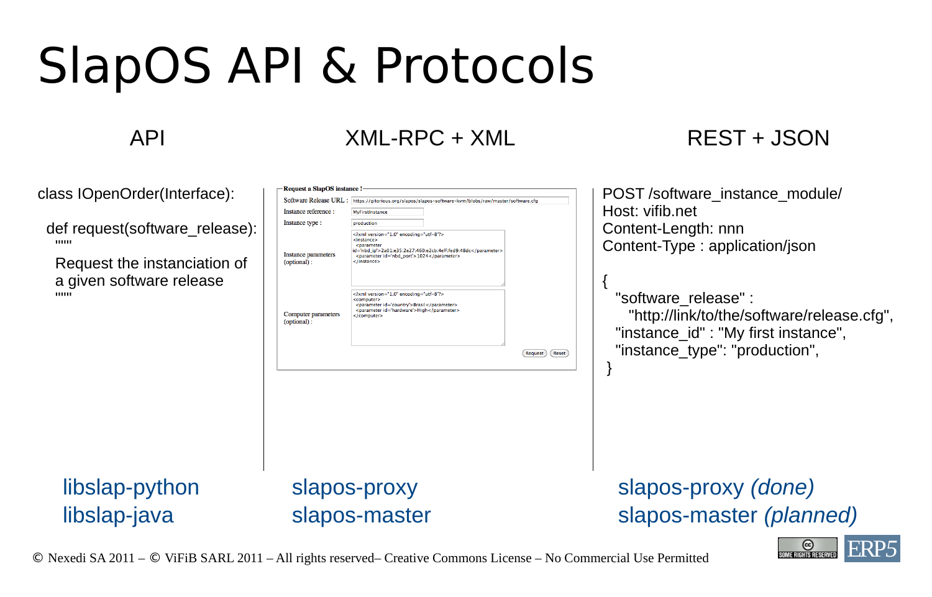### SlapOS API & Protocols

#### API XML-RPC + XML REST + JSON

POST /software\_instance\_module/

Host: vifib.net

class IOpenOrder(Interface):

def request(software release):  $"$ """

 Request the instanciation of a given software release  $"$ """

Request a SlapOS instance Software Release URL: https://gitorious.org/slapos/slapos-software-kvm/blobs/raw/master/software.cf Instance reference: MyFirstInstand Instance type: production <?xml version="1.0" encoding="utf-8"?> <instance> coaramete id='nbd\_ip'>2a01:e35:2e27:460:e2cb:4eff:fed9:48dc</paramete Instance parameters <parameter id='nbd\_port'>1024</parameter> (optional) clinstance: <?xml version="1.0" encoding="utf-8"?: <computer> <parameter id='country'>Brasil</parameter> <parameter id='hardware'>High</parameter> Computer parameters c/computer: (optional) (Request) (Reset)

Content-Length: nnn Content-Type : application/json { "software release" : "http://link/to/the/software/release.cfg", "instance\_id" : "My first instance", "instance\_type": "production", }

libslap-python libslap-java

slapos-proxy slapos-master slapos-proxy *(done)* slapos-master *(planned)*

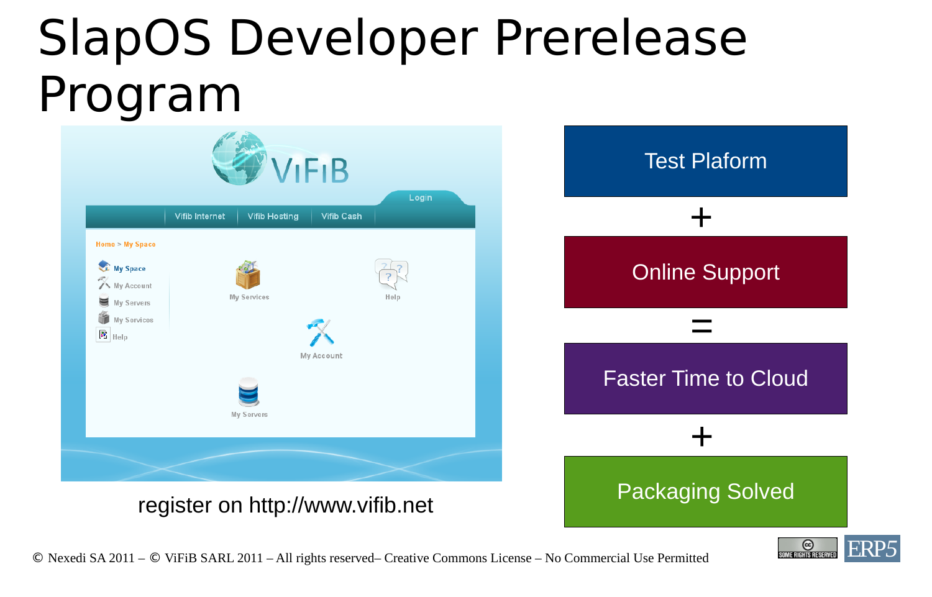#### SlapOS Developer Prerelease Program



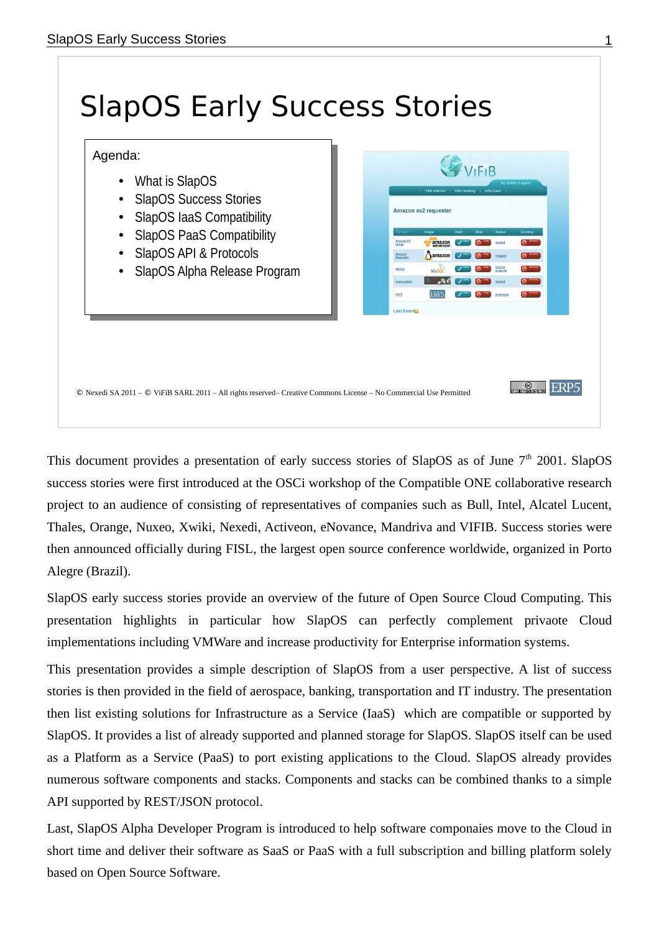

This document provides a presentation of early success stories of SlapOS as of June  $7<sup>th</sup>$  2001. SlapOS success stories were first introduced at the OSCi workshop of the Compatible ONE collaborative research project to an audience of consisting of representatives of companies such as Bull, Intel, Alcatel Lucent, Thales, Orange, Nuxeo, Xwiki, Nexedi, Activeon, eNovance, Mandriva and VIFIB. Success stories were then announced officially during FISL, the largest open source conference worldwide, organized in Porto Alegre (Brazil).

SlapOS early success stories provide an overview of the future of Open Source Cloud Computing. This presentation highlights in particular how SlapOS can perfectly complement privaote Cloud implementations including VMWare and increase productivity for Enterprise information systems.

This presentation provides a simple description of SlapOS from a user perspective. A list of success stories is then provided in the field of aerospace, banking, transportation and IT industry. The presentation then list existing solutions for Infrastructure as a Service (IaaS) which are compatible or supported by SlapOS. It provides a list of already supported and planned storage for SlapOS. SlapOS itself can be used as a Platform as a Service (PaaS) to port existing applications to the Cloud. SlapOS already provides numerous software components and stacks. Components and stacks can be combined thanks to a simple API supported by REST/JSON protocol.

Last, SlapOS Alpha Developer Program is introduced to help software componaies move to the Cloud in short time and deliver their software as SaaS or PaaS with a full subscription and billing platform solely based on Open Source Software.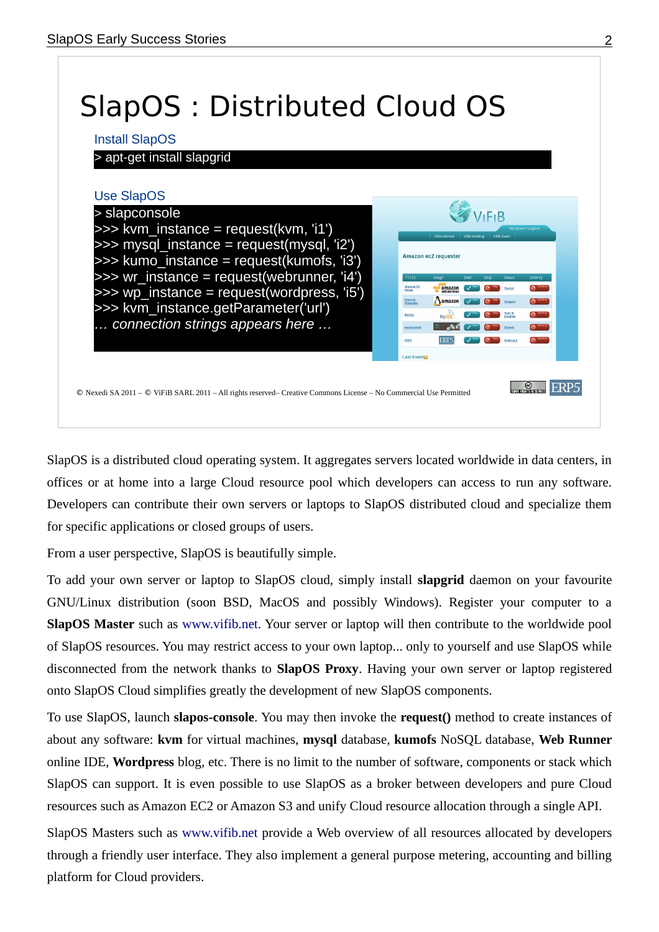

SlapOS is a distributed cloud operating system. It aggregates servers located worldwide in data centers, in offices or at home into a large Cloud resource pool which developers can access to run any software. Developers can contribute their own servers or laptops to SlapOS distributed cloud and specialize them for specific applications or closed groups of users.

From a user perspective, SlapOS is beautifully simple.

To add your own server or laptop to SlapOS cloud, simply install **slapgrid** daemon on your favourite GNU/Linux distribution (soon BSD, MacOS and possibly Windows). Register your computer to a **SlapOS Master** such as www.vifib.net. Your server or laptop will then contribute to the worldwide pool of SlapOS resources. You may restrict access to your own laptop... only to yourself and use SlapOS while disconnected from the network thanks to **SlapOS Proxy**. Having your own server or laptop registered onto SlapOS Cloud simplifies greatly the development of new SlapOS components.

To use SlapOS, launch **slapos-console**. You may then invoke the **request()** method to create instances of about any software: **kvm** for virtual machines, **mysql** database, **kumofs** NoSQL database, **Web Runner** online IDE, **Wordpress** blog, etc. There is no limit to the number of software, components or stack which SlapOS can support. It is even possible to use SlapOS as a broker between developers and pure Cloud resources such as Amazon EC2 or Amazon S3 and unify Cloud resource allocation through a single API.

SlapOS Masters such as www.vifib.net provide a Web overview of all resources allocated by developers through a friendly user interface. They also implement a general purpose metering, accounting and billing platform for Cloud providers.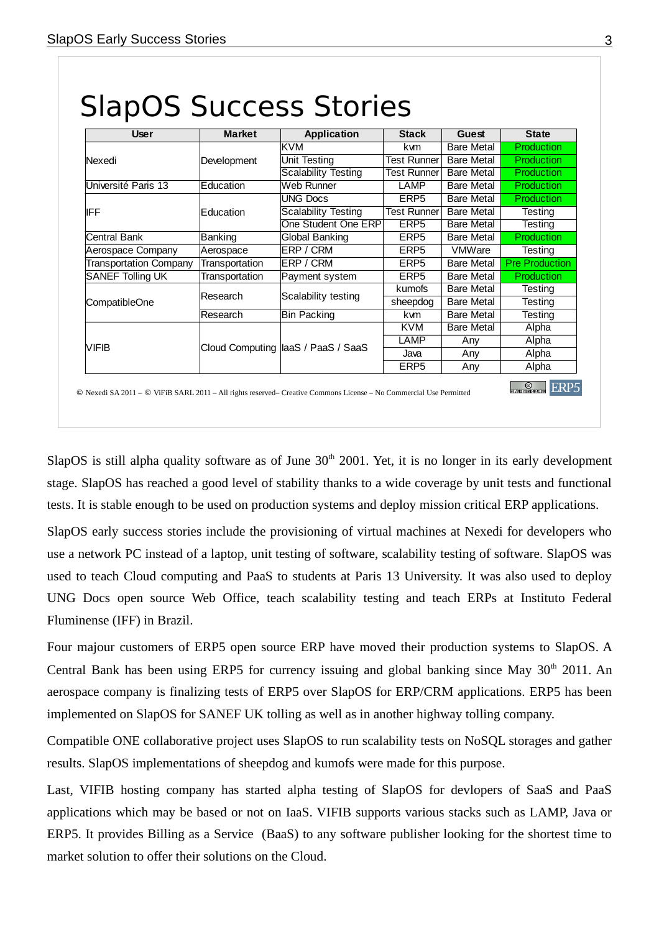| <b>User</b>                   | <b>Market</b>    | Application                         | <b>Stack</b>       | Guest             | <b>State</b>          |
|-------------------------------|------------------|-------------------------------------|--------------------|-------------------|-----------------------|
|                               |                  | <b>KVM</b>                          | kvm                | <b>Bare Metal</b> | <b>Production</b>     |
| Nexedi                        | Development      | Unit Testing                        | Test Runner        | <b>Bare Metal</b> | Production            |
|                               |                  | <b>Scalability Testing</b>          | <b>Test Runner</b> | <b>Bare Metal</b> | Production            |
| Université Paris 13           | Education        | Web Runner                          | LAMP               | <b>Bare Metal</b> | Production            |
|                               |                  | <b>UNG Docs</b>                     | ERP <sub>5</sub>   | <b>Bare Metal</b> | <b>Production</b>     |
| <b>IFF</b>                    | <b>Education</b> | <b>Scalability Testing</b>          | Test Runner        | Bare Metal        | <b>Testing</b>        |
|                               |                  | One Student One ERP                 | ERP5               | Bare Metal        | Testing               |
| <b>Central Bank</b>           | Banking          | Global Banking                      | ERP <sub>5</sub>   | <b>Bare Metal</b> | <b>Production</b>     |
| Aerospace Company             | Aerospace        | ERP / CRM                           | ERP5               | <b>VMWare</b>     | <b>Testing</b>        |
| <b>Transportation Company</b> | Transportation   | ERP / CRM                           | ERP <sub>5</sub>   | <b>Bare Metal</b> | <b>Pre Production</b> |
| <b>SANEF Tolling UK</b>       | Transportation   | Payment system                      | ERP5               | <b>Bare Metal</b> | Production            |
|                               |                  |                                     | kumofs             | <b>Bare Metal</b> | Testing               |
| CompatibleOne                 | lResearch        | Scalability testing                 | sheepdog           | <b>Bare Metal</b> | <b>Testing</b>        |
|                               | lResearch        | <b>Bin Packing</b>                  | kvm                | <b>Bare Metal</b> | Testing               |
|                               |                  |                                     | <b>KVM</b>         | <b>Bare Metal</b> | Alpha                 |
|                               |                  |                                     | LAMP               | Any               | Alpha                 |
| <b>VIFIB</b>                  |                  | Cloud Computing  laaS / PaaS / SaaS | Java               | Any               | Alpha                 |
|                               |                  |                                     | ERP <sub>5</sub>   | Any               | Alpha                 |

#### SlapOS is still alpha quality software as of June 30<sup>th</sup> 2001. Yet, it is no longer in its early development stage. SlapOS has reached a good level of stability thanks to a wide coverage by unit tests and functional tests. It is stable enough to be used on production systems and deploy mission critical ERP applications.

SlapOS early success stories include the provisioning of virtual machines at Nexedi for developers who use a network PC instead of a laptop, unit testing of software, scalability testing of software. SlapOS was used to teach Cloud computing and PaaS to students at Paris 13 University. It was also used to deploy UNG Docs open source Web Office, teach scalability testing and teach ERPs at Instituto Federal Fluminense (IFF) in Brazil.

Four majour customers of ERP5 open source ERP have moved their production systems to SlapOS. A Central Bank has been using ERP5 for currency issuing and global banking since May  $30<sup>th</sup>$  2011. An aerospace company is finalizing tests of ERP5 over SlapOS for ERP/CRM applications. ERP5 has been implemented on SlapOS for SANEF UK tolling as well as in another highway tolling company.

Compatible ONE collaborative project uses SlapOS to run scalability tests on NoSQL storages and gather results. SlapOS implementations of sheepdog and kumofs were made for this purpose.

Last, VIFIB hosting company has started alpha testing of SlapOS for devlopers of SaaS and PaaS applications which may be based or not on IaaS. VIFIB supports various stacks such as LAMP, Java or ERP5. It provides Billing as a Service (BaaS) to any software publisher looking for the shortest time to market solution to offer their solutions on the Cloud.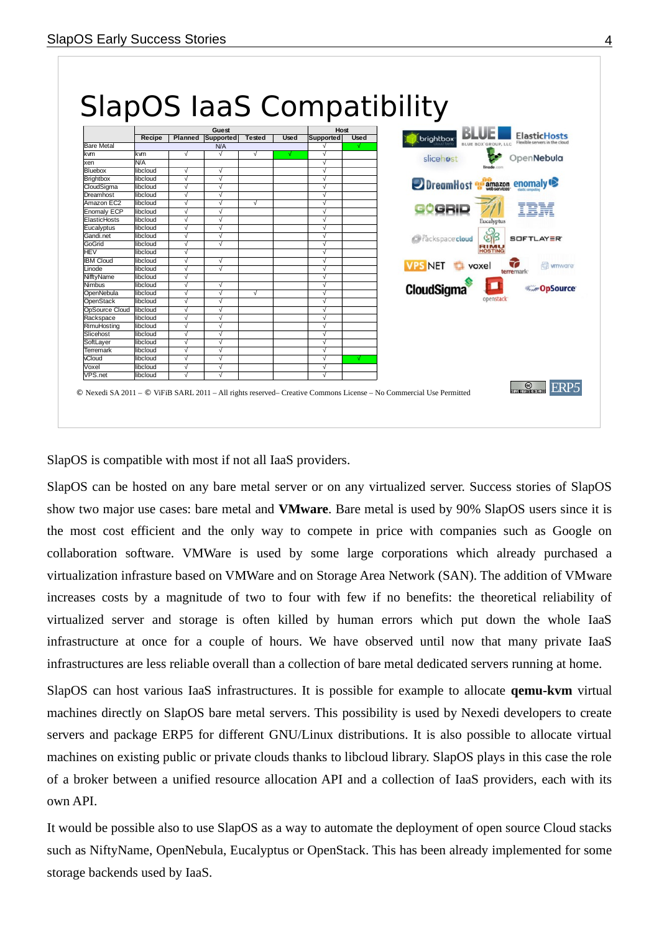

SlapOS is compatible with most if not all IaaS providers.

SlapOS can be hosted on any bare metal server or on any virtualized server. Success stories of SlapOS show two major use cases: bare metal and **VMware**. Bare metal is used by 90% SlapOS users since it is the most cost efficient and the only way to compete in price with companies such as Google on collaboration software. VMWare is used by some large corporations which already purchased a virtualization infrasture based on VMWare and on Storage Area Network (SAN). The addition of VMware increases costs by a magnitude of two to four with few if no benefits: the theoretical reliability of virtualized server and storage is often killed by human errors which put down the whole IaaS infrastructure at once for a couple of hours. We have observed until now that many private IaaS infrastructures are less reliable overall than a collection of bare metal dedicated servers running at home.

SlapOS can host various IaaS infrastructures. It is possible for example to allocate **qemu-kvm** virtual machines directly on SlapOS bare metal servers. This possibility is used by Nexedi developers to create servers and package ERP5 for different GNU/Linux distributions. It is also possible to allocate virtual machines on existing public or private clouds thanks to libcloud library. SlapOS plays in this case the role of a broker between a unified resource allocation API and a collection of IaaS providers, each with its own API.

It would be possible also to use SlapOS as a way to automate the deployment of open source Cloud stacks such as NiftyName, OpenNebula, Eucalyptus or OpenStack. This has been already implemented for some storage backends used by IaaS.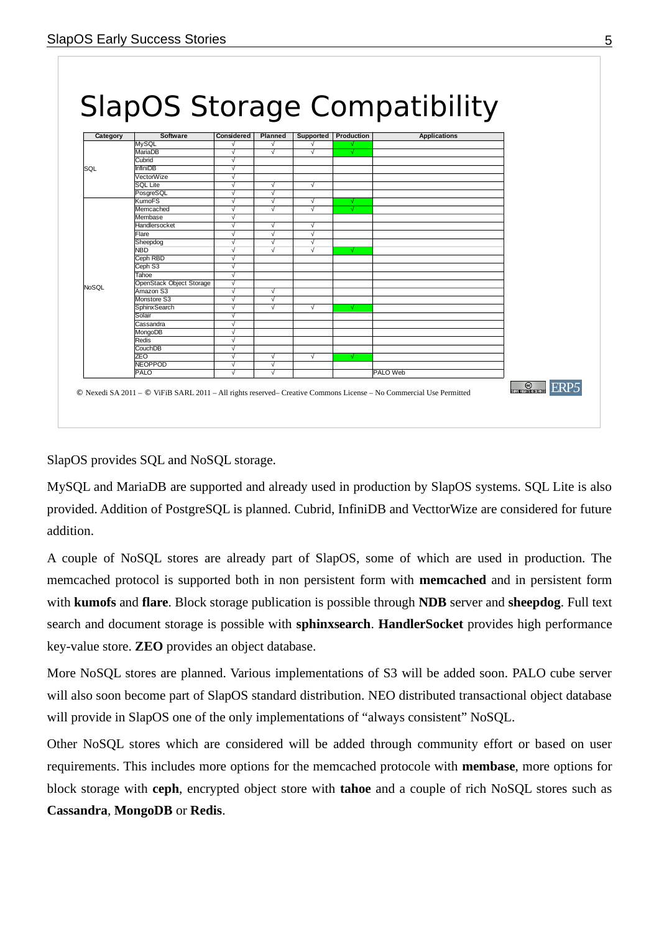

SlapOS provides SQL and NoSQL storage.

MySQL and MariaDB are supported and already used in production by SlapOS systems. SQL Lite is also provided. Addition of PostgreSQL is planned. Cubrid, InfiniDB and VecttorWize are considered for future addition.

A couple of NoSQL stores are already part of SlapOS, some of which are used in production. The memcached protocol is supported both in non persistent form with **memcached** and in persistent form with **kumofs** and **flare**. Block storage publication is possible through **NDB** server and **sheepdog**. Full text search and document storage is possible with **sphinxsearch**. **HandlerSocket** provides high performance key-value store. **ZEO** provides an object database.

More NoSQL stores are planned. Various implementations of S3 will be added soon. PALO cube server will also soon become part of SlapOS standard distribution. NEO distributed transactional object database will provide in SlapOS one of the only implementations of "always consistent" NoSQL.

Other NoSQL stores which are considered will be added through community effort or based on user requirements. This includes more options for the memcached protocole with **membase**, more options for block storage with **ceph**, encrypted object store with **tahoe** and a couple of rich NoSQL stores such as **Cassandra**, **MongoDB** or **Redis**.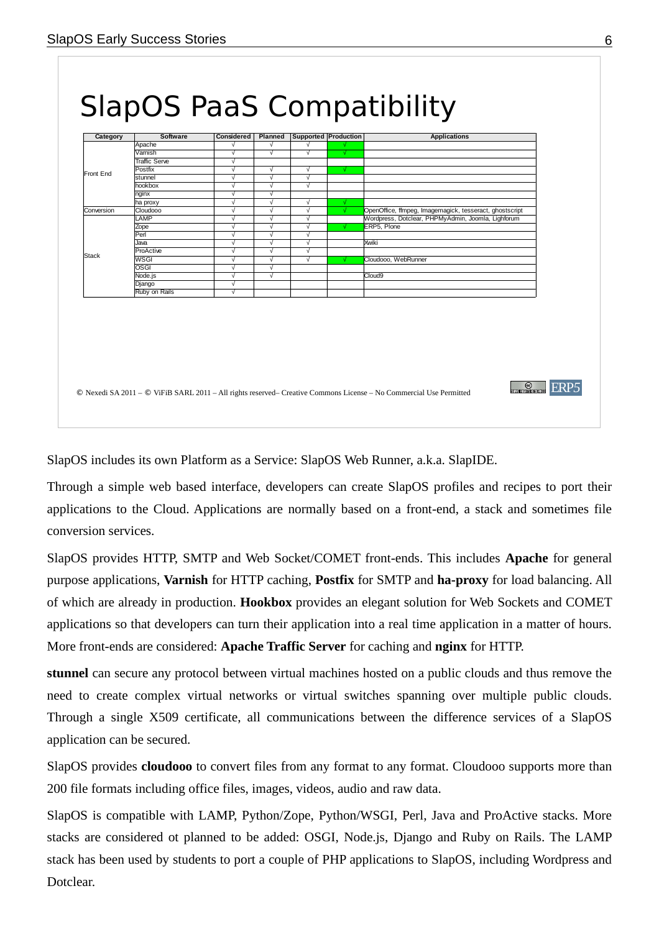| Apache<br>$\sqrt{ }$<br>$\sqrt{}$<br>√<br>Varnish<br>$\sqrt{ }$<br>$\sqrt{}$<br>$\sqrt{ }$<br>√<br><b>Traffic Serve</b><br>$\sqrt{}$<br>$\sqrt{ }$<br>Postfix<br>$\sqrt{ }$<br>$\sqrt{ }$<br>√<br>Front End<br>$\overline{\sqrt{2}}$<br>stunnel<br>$\sqrt{ }$<br>$\sqrt{}$<br>hookbox<br>√<br>$\sqrt{}$<br>$\sqrt{ }$<br>$\sqrt{ }$<br>nginx<br>$\sqrt{ }$<br>$\sqrt{ }$<br>$\sqrt{ }$<br>$\sqrt{}$<br>ha proxy<br>OpenOffice, ffmpeg, Imagemagick, tesseract, ghostscript<br>Conversion<br>Cloudooo<br>$\sqrt{ }$<br>$\sqrt{}$<br>$\sqrt{ }$<br>√<br>Wordpress, Dotclear, PHPMyAdmin, Joomla, Lighforum<br>LAMP<br>√<br>$\sqrt{ }$<br>$\sqrt{}$<br>$\sqrt{ }$<br>$\sqrt{}$<br>$\sqrt{ }$<br>ERP5. Plone<br>Zope<br>Perl<br>$\sqrt{}$<br>√<br>$\sqrt{ }$<br>$\overline{\sqrt{2}}$<br>$\sqrt{ }$<br>$\sqrt{}$<br>Xwiki<br>Java<br>ProActive<br>$\sqrt{ }$<br>$\sqrt{ }$<br>$\sqrt{}$<br><b>Stack</b><br>WSGI<br>$\sqrt{ }$<br>$\sqrt{ }$<br>$\sqrt{}$<br>Cloudooo, WebRunner<br><b>OSGI</b><br>$\sqrt{ }$<br>$\sqrt{}$<br>Node.js<br>Cloud9<br>$\sqrt{ }$<br>$\sqrt{}$<br>$\sqrt{ }$<br>Django |
|-----------------------------------------------------------------------------------------------------------------------------------------------------------------------------------------------------------------------------------------------------------------------------------------------------------------------------------------------------------------------------------------------------------------------------------------------------------------------------------------------------------------------------------------------------------------------------------------------------------------------------------------------------------------------------------------------------------------------------------------------------------------------------------------------------------------------------------------------------------------------------------------------------------------------------------------------------------------------------------------------------------------------------------------------------------------------------------------------|
|                                                                                                                                                                                                                                                                                                                                                                                                                                                                                                                                                                                                                                                                                                                                                                                                                                                                                                                                                                                                                                                                                               |
|                                                                                                                                                                                                                                                                                                                                                                                                                                                                                                                                                                                                                                                                                                                                                                                                                                                                                                                                                                                                                                                                                               |
|                                                                                                                                                                                                                                                                                                                                                                                                                                                                                                                                                                                                                                                                                                                                                                                                                                                                                                                                                                                                                                                                                               |
|                                                                                                                                                                                                                                                                                                                                                                                                                                                                                                                                                                                                                                                                                                                                                                                                                                                                                                                                                                                                                                                                                               |
|                                                                                                                                                                                                                                                                                                                                                                                                                                                                                                                                                                                                                                                                                                                                                                                                                                                                                                                                                                                                                                                                                               |
|                                                                                                                                                                                                                                                                                                                                                                                                                                                                                                                                                                                                                                                                                                                                                                                                                                                                                                                                                                                                                                                                                               |
|                                                                                                                                                                                                                                                                                                                                                                                                                                                                                                                                                                                                                                                                                                                                                                                                                                                                                                                                                                                                                                                                                               |
|                                                                                                                                                                                                                                                                                                                                                                                                                                                                                                                                                                                                                                                                                                                                                                                                                                                                                                                                                                                                                                                                                               |
|                                                                                                                                                                                                                                                                                                                                                                                                                                                                                                                                                                                                                                                                                                                                                                                                                                                                                                                                                                                                                                                                                               |
|                                                                                                                                                                                                                                                                                                                                                                                                                                                                                                                                                                                                                                                                                                                                                                                                                                                                                                                                                                                                                                                                                               |
|                                                                                                                                                                                                                                                                                                                                                                                                                                                                                                                                                                                                                                                                                                                                                                                                                                                                                                                                                                                                                                                                                               |
|                                                                                                                                                                                                                                                                                                                                                                                                                                                                                                                                                                                                                                                                                                                                                                                                                                                                                                                                                                                                                                                                                               |
|                                                                                                                                                                                                                                                                                                                                                                                                                                                                                                                                                                                                                                                                                                                                                                                                                                                                                                                                                                                                                                                                                               |
|                                                                                                                                                                                                                                                                                                                                                                                                                                                                                                                                                                                                                                                                                                                                                                                                                                                                                                                                                                                                                                                                                               |
|                                                                                                                                                                                                                                                                                                                                                                                                                                                                                                                                                                                                                                                                                                                                                                                                                                                                                                                                                                                                                                                                                               |
|                                                                                                                                                                                                                                                                                                                                                                                                                                                                                                                                                                                                                                                                                                                                                                                                                                                                                                                                                                                                                                                                                               |
|                                                                                                                                                                                                                                                                                                                                                                                                                                                                                                                                                                                                                                                                                                                                                                                                                                                                                                                                                                                                                                                                                               |
| Ruby on Rails<br>$\sqrt{ }$                                                                                                                                                                                                                                                                                                                                                                                                                                                                                                                                                                                                                                                                                                                                                                                                                                                                                                                                                                                                                                                                   |
|                                                                                                                                                                                                                                                                                                                                                                                                                                                                                                                                                                                                                                                                                                                                                                                                                                                                                                                                                                                                                                                                                               |

SlapOS includes its own Platform as a Service: SlapOS Web Runner, a.k.a. SlapIDE.

Through a simple web based interface, developers can create SlapOS profiles and recipes to port their applications to the Cloud. Applications are normally based on a front-end, a stack and sometimes file conversion services.

SlapOS provides HTTP, SMTP and Web Socket/COMET front-ends. This includes **Apache** for general purpose applications, **Varnish** for HTTP caching, **Postfix** for SMTP and **ha-proxy** for load balancing. All of which are already in production. **Hookbox** provides an elegant solution for Web Sockets and COMET applications so that developers can turn their application into a real time application in a matter of hours. More front-ends are considered: **Apache Traffic Server** for caching and **nginx** for HTTP.

**stunnel** can secure any protocol between virtual machines hosted on a public clouds and thus remove the need to create complex virtual networks or virtual switches spanning over multiple public clouds. Through a single X509 certificate, all communications between the difference services of a SlapOS application can be secured.

SlapOS provides **cloudooo** to convert files from any format to any format. Cloudooo supports more than 200 file formats including office files, images, videos, audio and raw data.

SlapOS is compatible with LAMP, Python/Zope, Python/WSGI, Perl, Java and ProActive stacks. More stacks are considered ot planned to be added: OSGI, Node.js, Django and Ruby on Rails. The LAMP stack has been used by students to port a couple of PHP applications to SlapOS, including Wordpress and Dotclear.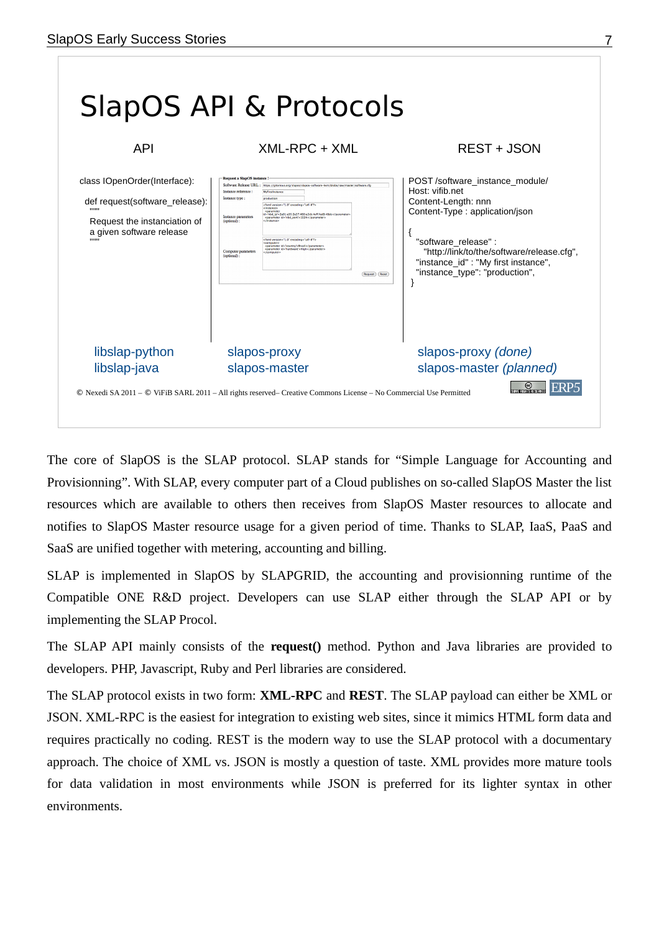

The core of SlapOS is the SLAP protocol. SLAP stands for "Simple Language for Accounting and Provisionning". With SLAP, every computer part of a Cloud publishes on so-called SlapOS Master the list resources which are available to others then receives from SlapOS Master resources to allocate and notifies to SlapOS Master resource usage for a given period of time. Thanks to SLAP, IaaS, PaaS and SaaS are unified together with metering, accounting and billing.

SLAP is implemented in SlapOS by SLAPGRID, the accounting and provisionning runtime of the Compatible ONE R&D project. Developers can use SLAP either through the SLAP API or by implementing the SLAP Procol.

The SLAP API mainly consists of the **request()** method. Python and Java libraries are provided to developers. PHP, Javascript, Ruby and Perl libraries are considered.

The SLAP protocol exists in two form: **XML-RPC** and **REST**. The SLAP payload can either be XML or JSON. XML-RPC is the easiest for integration to existing web sites, since it mimics HTML form data and requires practically no coding. REST is the modern way to use the SLAP protocol with a documentary approach. The choice of XML vs. JSON is mostly a question of taste. XML provides more mature tools for data validation in most environments while JSON is preferred for its lighter syntax in other environments.